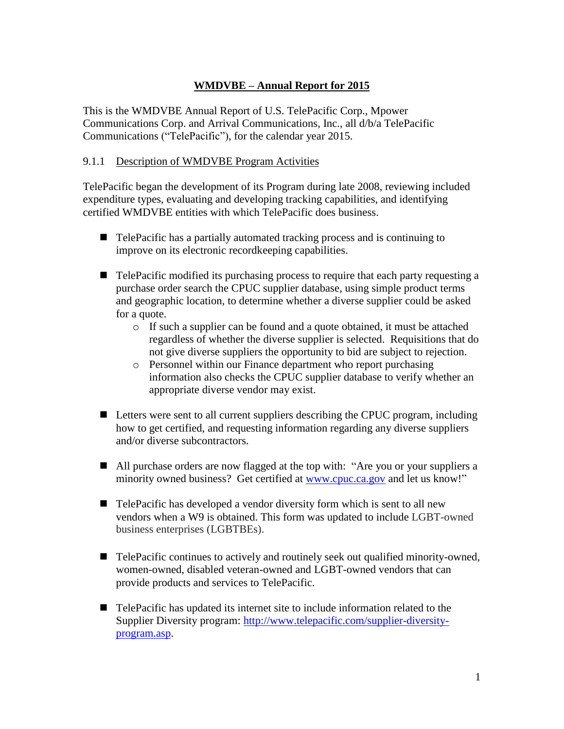# **WMDVBE – Annual Report for 2015**

This is the WMDVBE Annual Report of U.S. TelePacific Corp., Mpower Communications Corp. and Arrival Communications, Inc., all d/b/a TelePacific Communications ("TelePacific"), for the calendar year 2015.

#### 9.1.1 Description of WMDVBE Program Activities

TelePacific began the development of its Program during late 2008, reviewing included expenditure types, evaluating and developing tracking capabilities, and identifying certified WMDVBE entities with which TelePacific does business.

- TelePacific has a partially automated tracking process and is continuing to improve on its electronic recordkeeping capabilities.
- TelePacific modified its purchasing process to require that each party requesting a purchase order search the CPUC supplier database, using simple product terms and geographic location, to determine whether a diverse supplier could be asked for a quote.
	- o If such a supplier can be found and a quote obtained, it must be attached regardless of whether the diverse supplier is selected. Requisitions that do not give diverse suppliers the opportunity to bid are subject to rejection.
	- o Personnel within our Finance department who report purchasing information also checks the CPUC supplier database to verify whether an appropriate diverse vendor may exist.
- Letters were sent to all current suppliers describing the CPUC program, including how to get certified, and requesting information regarding any diverse suppliers and/or diverse subcontractors.
- All purchase orders are now flagged at the top with: "Are you or your suppliers a minority owned business? Get certified at [www.cpuc.ca.gov](http://www.cpuc.ca.gov/) and let us know!"
- TelePacific has developed a vendor diversity form which is sent to all new vendors when a W9 is obtained. This form was updated to include LGBT-owned business enterprises (LGBTBEs).
- TelePacific continues to actively and routinely seek out qualified minority-owned, women-owned, disabled veteran-owned and LGBT-owned vendors that can provide products and services to TelePacific.
- TelePacific has updated its internet site to include information related to the Supplier Diversity program: [http://www.telepacific.com/supplier-diversity](http://www.telepacific.com/supplier-diversity-program.asp)[program.asp.](http://www.telepacific.com/supplier-diversity-program.asp)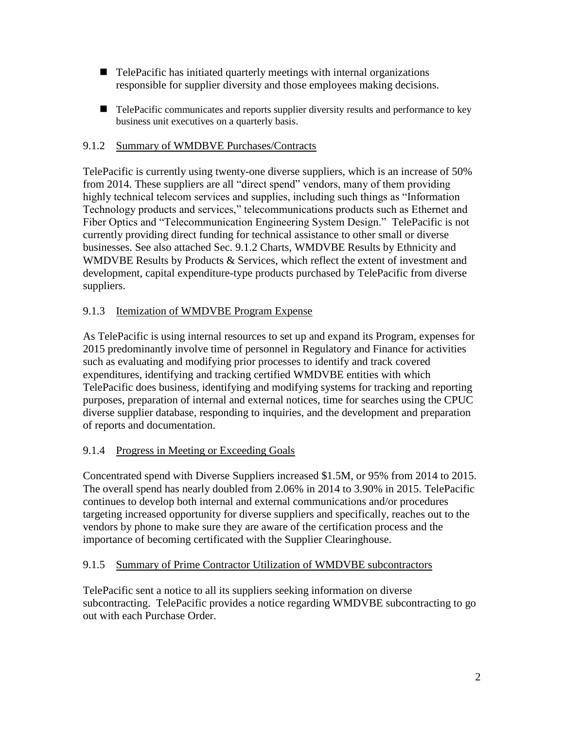- TelePacific has initiated quarterly meetings with internal organizations responsible for supplier diversity and those employees making decisions.
- TelePacific communicates and reports supplier diversity results and performance to key business unit executives on a quarterly basis.

# 9.1.2 Summary of WMDBVE Purchases/Contracts

TelePacific is currently using twenty-one diverse suppliers, which is an increase of 50% from 2014. These suppliers are all "direct spend" vendors, many of them providing highly technical telecom services and supplies, including such things as "Information Technology products and services," telecommunications products such as Ethernet and Fiber Optics and "Telecommunication Engineering System Design." TelePacific is not currently providing direct funding for technical assistance to other small or diverse businesses. See also attached Sec. 9.1.2 Charts, WMDVBE Results by Ethnicity and WMDVBE Results by Products & Services, which reflect the extent of investment and development, capital expenditure-type products purchased by TelePacific from diverse suppliers.

# 9.1.3 Itemization of WMDVBE Program Expense

As TelePacific is using internal resources to set up and expand its Program, expenses for 2015 predominantly involve time of personnel in Regulatory and Finance for activities such as evaluating and modifying prior processes to identify and track covered expenditures, identifying and tracking certified WMDVBE entities with which TelePacific does business, identifying and modifying systems for tracking and reporting purposes, preparation of internal and external notices, time for searches using the CPUC diverse supplier database, responding to inquiries, and the development and preparation of reports and documentation.

## 9.1.4 Progress in Meeting or Exceeding Goals

Concentrated spend with Diverse Suppliers increased \$1.5M, or 95% from 2014 to 2015. The overall spend has nearly doubled from 2.06% in 2014 to 3.90% in 2015. TelePacific continues to develop both internal and external communications and/or procedures targeting increased opportunity for diverse suppliers and specifically, reaches out to the vendors by phone to make sure they are aware of the certification process and the importance of becoming certificated with the Supplier Clearinghouse.

## 9.1.5 Summary of Prime Contractor Utilization of WMDVBE subcontractors

TelePacific sent a notice to all its suppliers seeking information on diverse subcontracting. TelePacific provides a notice regarding WMDVBE subcontracting to go out with each Purchase Order.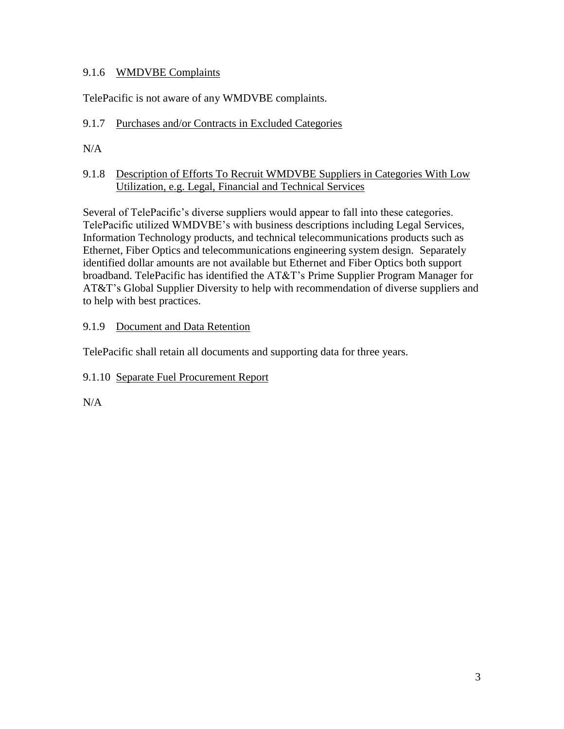## 9.1.6 WMDVBE Complaints

TelePacific is not aware of any WMDVBE complaints.

# 9.1.7 Purchases and/or Contracts in Excluded Categories

 $N/A$ 

## 9.1.8 Description of Efforts To Recruit WMDVBE Suppliers in Categories With Low Utilization, e.g. Legal, Financial and Technical Services

Several of TelePacific's diverse suppliers would appear to fall into these categories. TelePacific utilized WMDVBE's with business descriptions including Legal Services, Information Technology products, and technical telecommunications products such as Ethernet, Fiber Optics and telecommunications engineering system design. Separately identified dollar amounts are not available but Ethernet and Fiber Optics both support broadband. TelePacific has identified the AT&T's Prime Supplier Program Manager for AT&T's Global Supplier Diversity to help with recommendation of diverse suppliers and to help with best practices.

# 9.1.9 Document and Data Retention

TelePacific shall retain all documents and supporting data for three years.

## 9.1.10 Separate Fuel Procurement Report

 $N/A$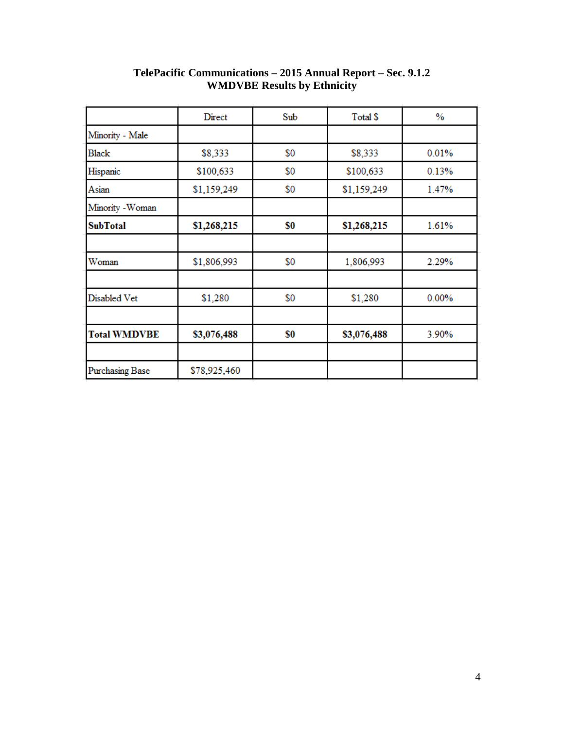|                     | Direct       | Sub | Total \$    | $\%$     |
|---------------------|--------------|-----|-------------|----------|
| Minority - Male     |              |     |             |          |
| Black               | \$8,333      | \$0 | \$8,333     | 0.01%    |
| Hispanic            | \$100,633    | \$0 | \$100,633   | 0.13%    |
| Asian               | \$1,159,249  | \$0 | \$1,159,249 | 1.47%    |
| Minority - Woman    |              |     |             |          |
| SubTotal            | \$1,268,215  | \$0 | \$1,268,215 | 1.61%    |
|                     |              |     |             |          |
| Woman               | \$1,806,993  | \$0 | 1,806,993   | 2.29%    |
|                     |              |     |             |          |
| Disabled Vet        | \$1,280      | \$0 | \$1,280     | $0.00\%$ |
|                     |              |     |             |          |
| <b>Total WMDVBE</b> | \$3,076,488  | \$0 | \$3,076,488 | 3.90%    |
|                     |              |     |             |          |
| Purchasing Base     | \$78,925,460 |     |             |          |

#### **TelePacific Communications – 2015 Annual Report – Sec. 9.1.2 WMDVBE Results by Ethnicity**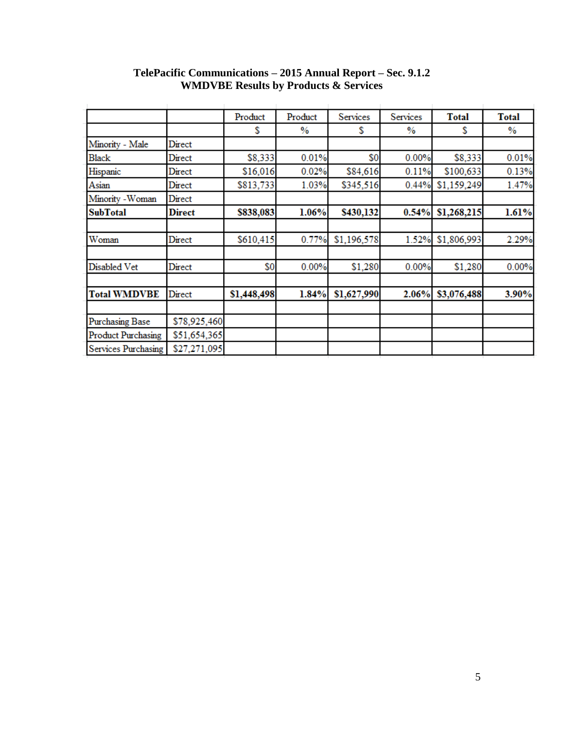|                            |               | Product     | Product | Services    | Services | <b>Total</b> | <b>Total</b> |
|----------------------------|---------------|-------------|---------|-------------|----------|--------------|--------------|
|                            |               | S           | $\%$    | S           | $\%$     | S            | %            |
| Minority - Male            | Direct        |             |         |             |          |              |              |
| <b>Black</b>               | Direct        | \$8,333     | 0.01%   | \$0         | 0.00%    | \$8,333      | 0.01%        |
| Hispanic                   | Direct        | \$16,016    | 0.02%   | \$84,616    | 0.11%    | \$100,633    | 0.13%        |
| Asian                      | Direct        | \$813,733   | 1.03%   | \$345,516   | 0.44%    | \$1,159,249  | 1.47%        |
| Minority - Woman           | Direct        |             |         |             |          |              |              |
| <b>SubTotal</b>            | <b>Direct</b> | \$838,083   | 1.06%   | \$430,132   | 0.54%    | \$1,268,215  | 1.61%        |
| Woman                      | Direct        | \$610,415   | 0.77%   | \$1,196,578 | 1.52%    | \$1,806,993  | 2.29%        |
| Disabled Vet               | Direct        | \$0         | 0.00%   | \$1,280     | 0.00%    | \$1,280      | 0.00%        |
| <b>Total WMDVBE</b>        | Direct        | \$1,448,498 | 1.84%   | \$1,627,990 | 2.06%    | \$3,076,488  | 3.90%        |
| <b>Purchasing Base</b>     | \$78,925,460  |             |         |             |          |              |              |
| <b>Product Purchasing</b>  | \$51,654,365  |             |         |             |          |              |              |
| <b>Services Purchasing</b> | \$27,271,095  |             |         |             |          |              |              |

#### **TelePacific Communications – 2015 Annual Report – Sec. 9.1.2 WMDVBE Results by Products & Services**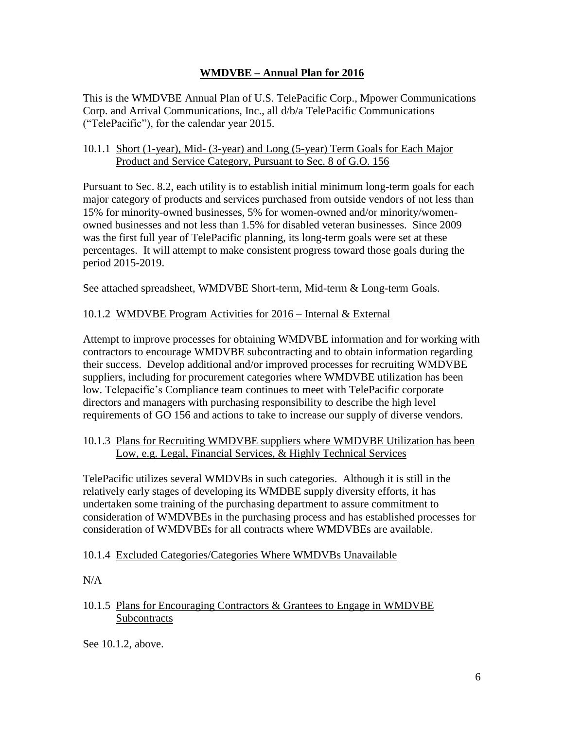## **WMDVBE – Annual Plan for 2016**

This is the WMDVBE Annual Plan of U.S. TelePacific Corp., Mpower Communications Corp. and Arrival Communications, Inc., all d/b/a TelePacific Communications ("TelePacific"), for the calendar year 2015.

#### 10.1.1 Short (1-year), Mid- (3-year) and Long (5-year) Term Goals for Each Major Product and Service Category, Pursuant to Sec. 8 of G.O. 156

Pursuant to Sec. 8.2, each utility is to establish initial minimum long-term goals for each major category of products and services purchased from outside vendors of not less than 15% for minority-owned businesses, 5% for women-owned and/or minority/womenowned businesses and not less than 1.5% for disabled veteran businesses. Since 2009 was the first full year of TelePacific planning, its long-term goals were set at these percentages. It will attempt to make consistent progress toward those goals during the period 2015-2019.

See attached spreadsheet, WMDVBE Short-term, Mid-term & Long-term Goals.

## 10.1.2 WMDVBE Program Activities for 2016 – Internal & External

Attempt to improve processes for obtaining WMDVBE information and for working with contractors to encourage WMDVBE subcontracting and to obtain information regarding their success. Develop additional and/or improved processes for recruiting WMDVBE suppliers, including for procurement categories where WMDVBE utilization has been low. Telepacific's Compliance team continues to meet with TelePacific corporate directors and managers with purchasing responsibility to describe the high level requirements of GO 156 and actions to take to increase our supply of diverse vendors.

#### 10.1.3 Plans for Recruiting WMDVBE suppliers where WMDVBE Utilization has been Low, e.g. Legal, Financial Services, & Highly Technical Services

TelePacific utilizes several WMDVBs in such categories. Although it is still in the relatively early stages of developing its WMDBE supply diversity efforts, it has undertaken some training of the purchasing department to assure commitment to consideration of WMDVBEs in the purchasing process and has established processes for consideration of WMDVBEs for all contracts where WMDVBEs are available.

## 10.1.4 Excluded Categories/Categories Where WMDVBs Unavailable

 $N/A$ 

#### 10.1.5 Plans for Encouraging Contractors & Grantees to Engage in WMDVBE Subcontracts

See 10.1.2, above.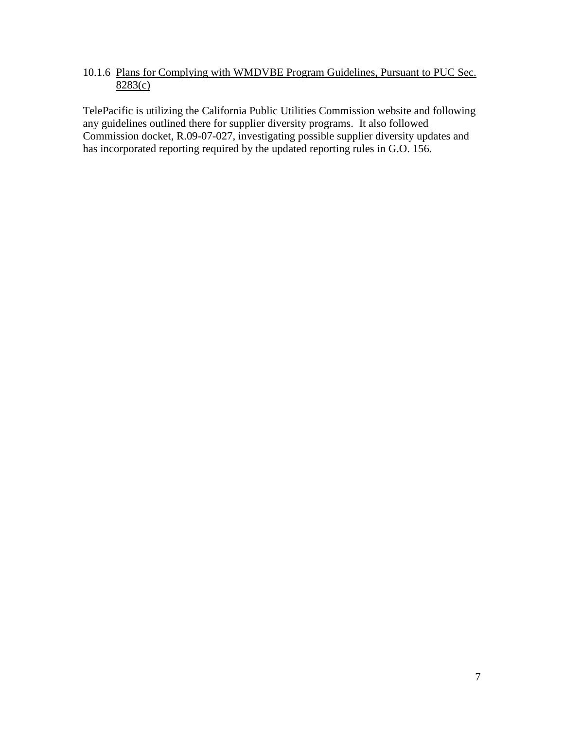# 10.1.6 Plans for Complying with WMDVBE Program Guidelines, Pursuant to PUC Sec. 8283(c)

TelePacific is utilizing the California Public Utilities Commission website and following any guidelines outlined there for supplier diversity programs. It also followed Commission docket, R.09-07-027, investigating possible supplier diversity updates and has incorporated reporting required by the updated reporting rules in G.O. 156.